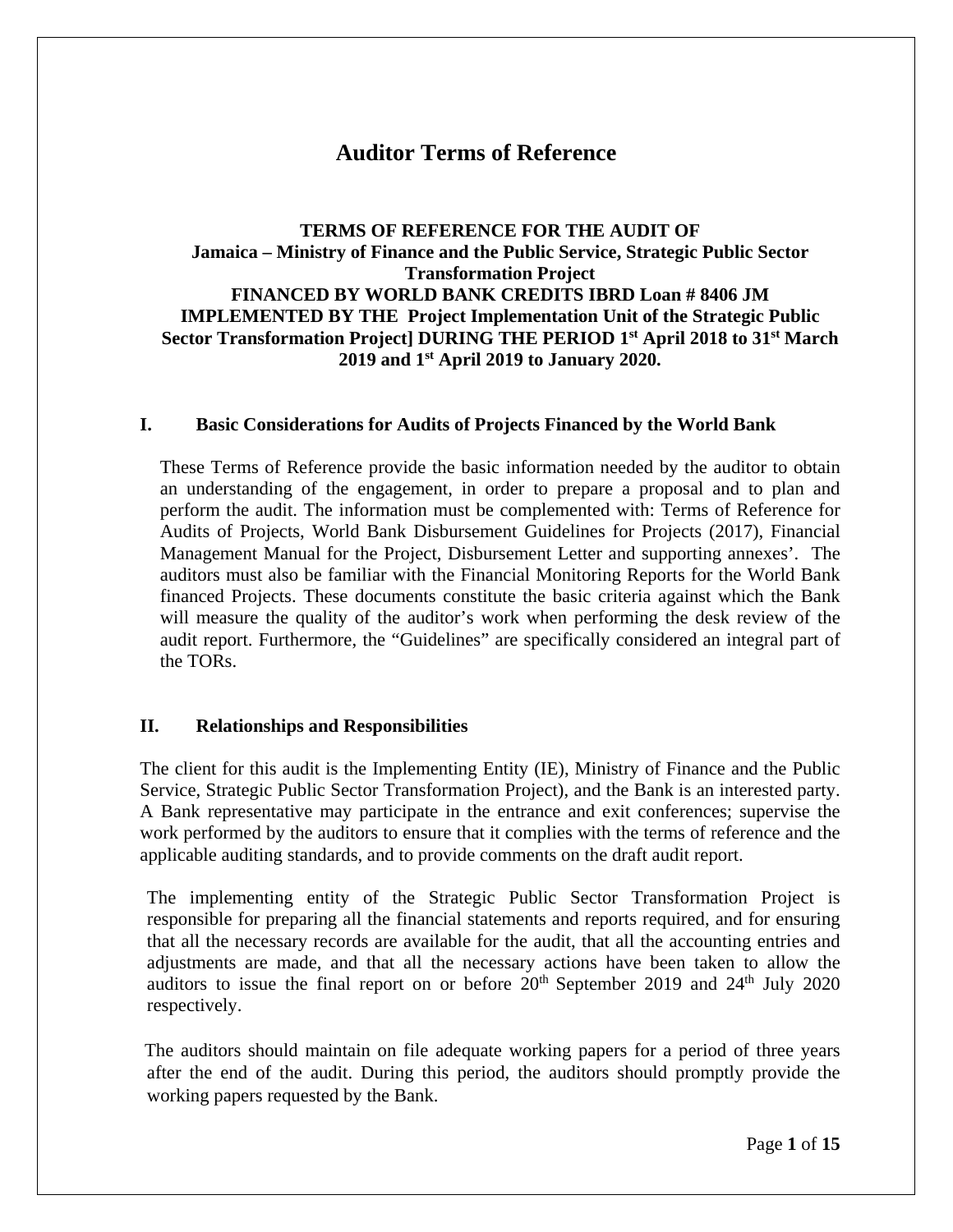## **Auditor Terms of Reference**

### **TERMS OF REFERENCE FOR THE AUDIT OF Jamaica – Ministry of Finance and the Public Service, Strategic Public Sector Transformation Project FINANCED BY WORLD BANK CREDITS IBRD Loan # 8406 JM IMPLEMENTED BY THE Project Implementation Unit of the Strategic Public Sector Transformation Project] DURING THE PERIOD 1st April 2018 to 31st March 2019 and 1st April 2019 to January 2020.**

#### **I. Basic Considerations for Audits of Projects Financed by the World Bank**

These Terms of Reference provide the basic information needed by the auditor to obtain an understanding of the engagement, in order to prepare a proposal and to plan and perform the audit. The information must be complemented with: Terms of Reference for Audits of Projects, World Bank Disbursement Guidelines for Projects (2017), Financial Management Manual for the Project, Disbursement Letter and supporting annexes'. The auditors must also be familiar with the Financial Monitoring Reports for the World Bank financed Projects. These documents constitute the basic criteria against which the Bank will measure the quality of the auditor's work when performing the desk review of the audit report. Furthermore, the "Guidelines" are specifically considered an integral part of the TORs.

### **II. Relationships and Responsibilities**

The client for this audit is the Implementing Entity (IE), Ministry of Finance and the Public Service, Strategic Public Sector Transformation Project), and the Bank is an interested party. A Bank representative may participate in the entrance and exit conferences; supervise the work performed by the auditors to ensure that it complies with the terms of reference and the applicable auditing standards, and to provide comments on the draft audit report.

The implementing entity of the Strategic Public Sector Transformation Project is responsible for preparing all the financial statements and reports required, and for ensuring that all the necessary records are available for the audit, that all the accounting entries and adjustments are made, and that all the necessary actions have been taken to allow the auditors to issue the final report on or before  $20<sup>th</sup>$  September 2019 and  $24<sup>th</sup>$  July 2020 respectively.

The auditors should maintain on file adequate working papers for a period of three years after the end of the audit. During this period, the auditors should promptly provide the working papers requested by the Bank.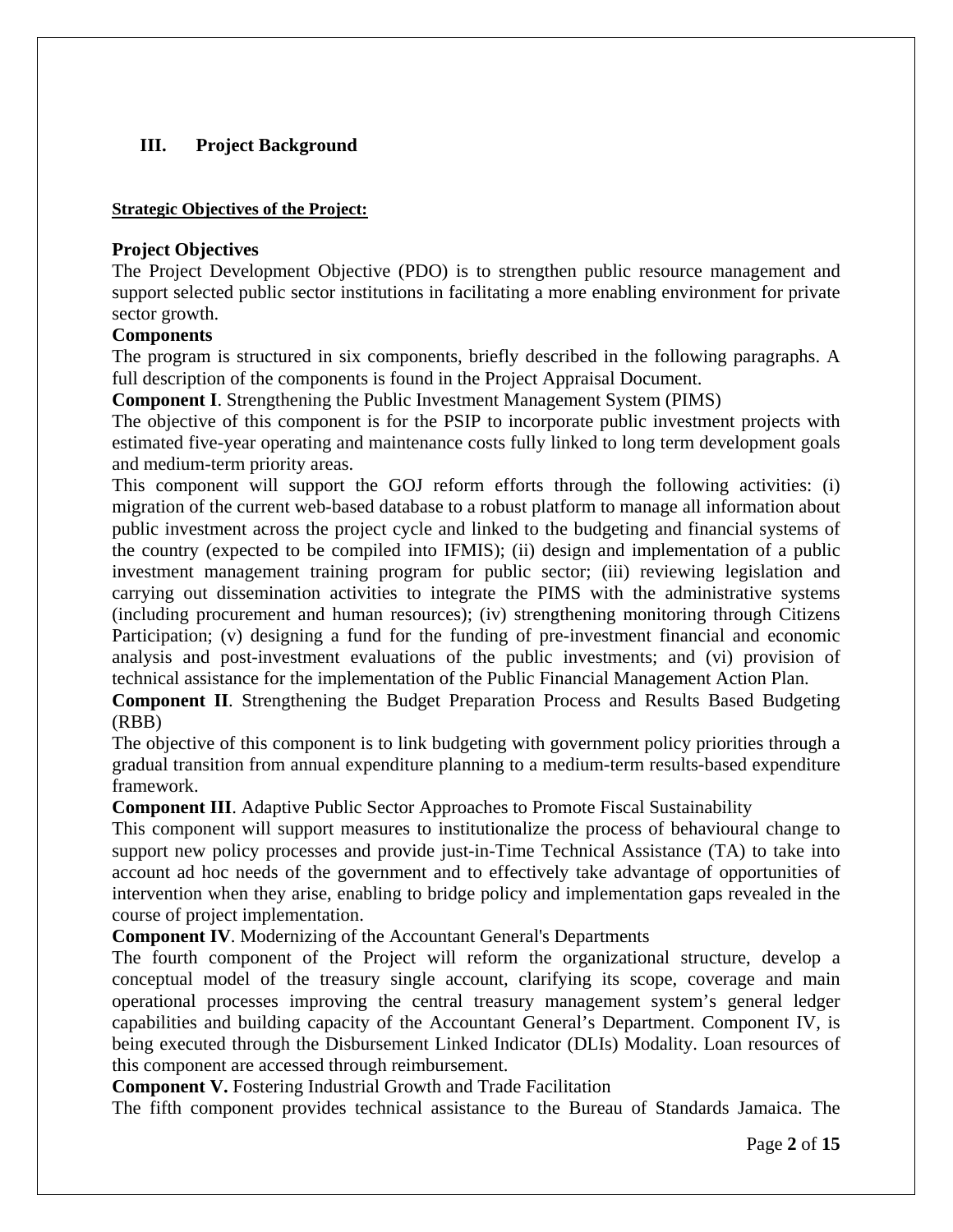### **III. Project Background**

#### **Strategic Objectives of the Project:**

#### **Project Objectives**

The Project Development Objective (PDO) is to strengthen public resource management and support selected public sector institutions in facilitating a more enabling environment for private sector growth.

#### **Components**

The program is structured in six components, briefly described in the following paragraphs. A full description of the components is found in the Project Appraisal Document.

**Component I**. Strengthening the Public Investment Management System (PIMS)

The objective of this component is for the PSIP to incorporate public investment projects with estimated five-year operating and maintenance costs fully linked to long term development goals and medium-term priority areas.

This component will support the GOJ reform efforts through the following activities: (i) migration of the current web-based database to a robust platform to manage all information about public investment across the project cycle and linked to the budgeting and financial systems of the country (expected to be compiled into IFMIS); (ii) design and implementation of a public investment management training program for public sector; (iii) reviewing legislation and carrying out dissemination activities to integrate the PIMS with the administrative systems (including procurement and human resources); (iv) strengthening monitoring through Citizens Participation; (v) designing a fund for the funding of pre-investment financial and economic analysis and post-investment evaluations of the public investments; and (vi) provision of technical assistance for the implementation of the Public Financial Management Action Plan.

**Component II**. Strengthening the Budget Preparation Process and Results Based Budgeting (RBB)

The objective of this component is to link budgeting with government policy priorities through a gradual transition from annual expenditure planning to a medium-term results-based expenditure framework.

**Component III**. Adaptive Public Sector Approaches to Promote Fiscal Sustainability

This component will support measures to institutionalize the process of behavioural change to support new policy processes and provide just-in-Time Technical Assistance (TA) to take into account ad hoc needs of the government and to effectively take advantage of opportunities of intervention when they arise, enabling to bridge policy and implementation gaps revealed in the course of project implementation.

**Component IV**. Modernizing of the Accountant General's Departments

The fourth component of the Project will reform the organizational structure, develop a conceptual model of the treasury single account, clarifying its scope, coverage and main operational processes improving the central treasury management system's general ledger capabilities and building capacity of the Accountant General's Department. Component IV, is being executed through the Disbursement Linked Indicator (DLIs) Modality. Loan resources of this component are accessed through reimbursement.

**Component V.** Fostering Industrial Growth and Trade Facilitation

The fifth component provides technical assistance to the Bureau of Standards Jamaica. The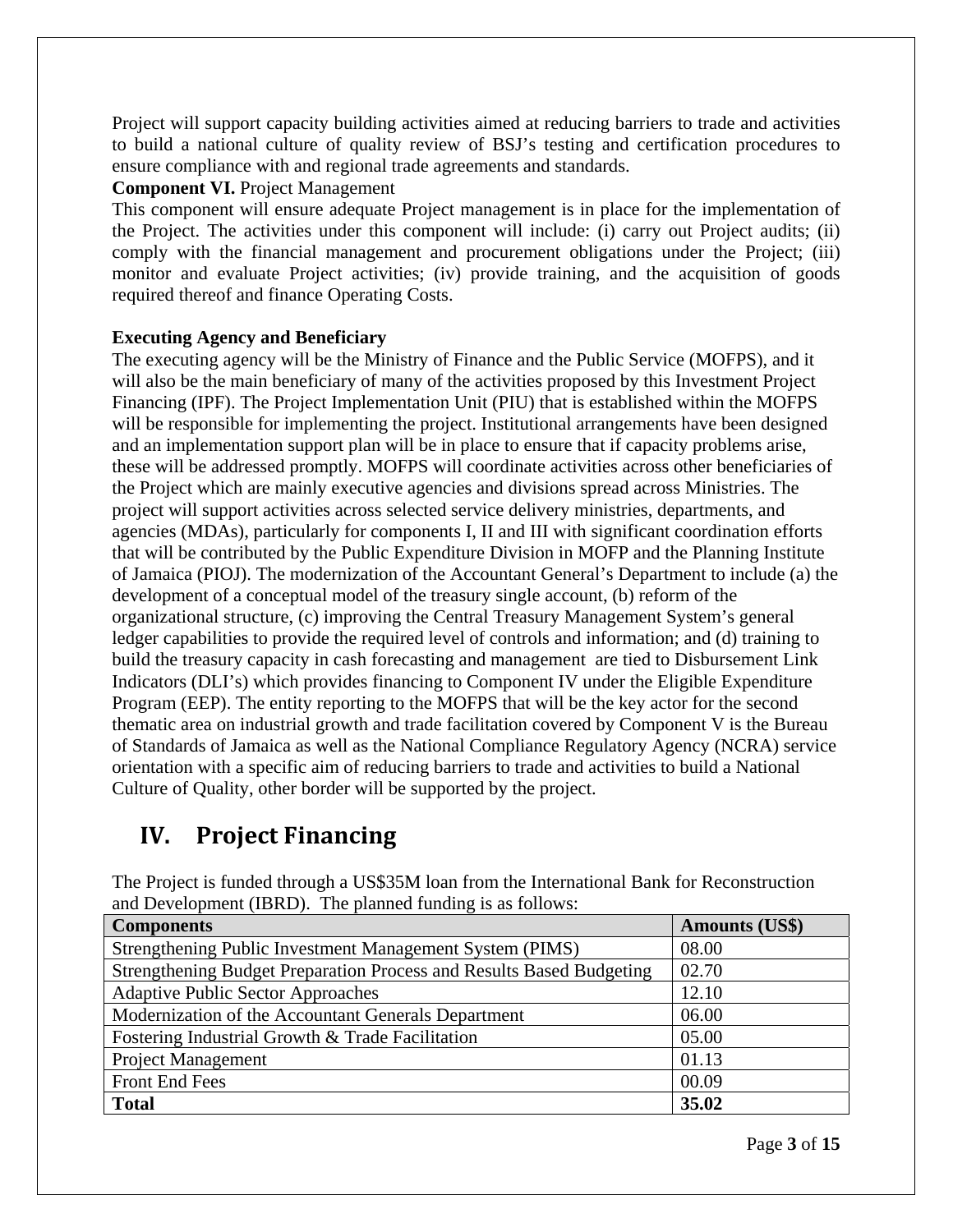Project will support capacity building activities aimed at reducing barriers to trade and activities to build a national culture of quality review of BSJ's testing and certification procedures to ensure compliance with and regional trade agreements and standards.

### **Component VI.** Project Management

This component will ensure adequate Project management is in place for the implementation of the Project. The activities under this component will include: (i) carry out Project audits; (ii) comply with the financial management and procurement obligations under the Project; (iii) monitor and evaluate Project activities; (iv) provide training, and the acquisition of goods required thereof and finance Operating Costs.

### **Executing Agency and Beneficiary**

The executing agency will be the Ministry of Finance and the Public Service (MOFPS), and it will also be the main beneficiary of many of the activities proposed by this Investment Project Financing (IPF). The Project Implementation Unit (PIU) that is established within the MOFPS will be responsible for implementing the project. Institutional arrangements have been designed and an implementation support plan will be in place to ensure that if capacity problems arise, these will be addressed promptly. MOFPS will coordinate activities across other beneficiaries of the Project which are mainly executive agencies and divisions spread across Ministries. The project will support activities across selected service delivery ministries, departments, and agencies (MDAs), particularly for components I, II and III with significant coordination efforts that will be contributed by the Public Expenditure Division in MOFP and the Planning Institute of Jamaica (PIOJ). The modernization of the Accountant General's Department to include (a) the development of a conceptual model of the treasury single account, (b) reform of the organizational structure, (c) improving the Central Treasury Management System's general ledger capabilities to provide the required level of controls and information; and (d) training to build the treasury capacity in cash forecasting and management are tied to Disbursement Link Indicators (DLI's) which provides financing to Component IV under the Eligible Expenditure Program (EEP). The entity reporting to the MOFPS that will be the key actor for the second thematic area on industrial growth and trade facilitation covered by Component V is the Bureau of Standards of Jamaica as well as the National Compliance Regulatory Agency (NCRA) service orientation with a specific aim of reducing barriers to trade and activities to build a National Culture of Quality, other border will be supported by the project.

# **IV.** Project Financing

| and Development (IBRD). The planned funding is as follows:           |                       |  |  |  |  |
|----------------------------------------------------------------------|-----------------------|--|--|--|--|
| <b>Components</b>                                                    | <b>Amounts (US\$)</b> |  |  |  |  |
| Strengthening Public Investment Management System (PIMS)             | 08.00                 |  |  |  |  |
| Strengthening Budget Preparation Process and Results Based Budgeting | 02.70                 |  |  |  |  |
| <b>Adaptive Public Sector Approaches</b>                             | 12.10                 |  |  |  |  |
| Modernization of the Accountant Generals Department                  | 06.00                 |  |  |  |  |
| Fostering Industrial Growth & Trade Facilitation                     | 05.00                 |  |  |  |  |
| <b>Project Management</b>                                            | 01.13                 |  |  |  |  |
| <b>Front End Fees</b>                                                | 00.09                 |  |  |  |  |
| <b>Total</b>                                                         | 35.02                 |  |  |  |  |

The Project is funded through a US\$35M loan from the International Bank for Reconstruction and Development (IBRD). The planned funding is as follows: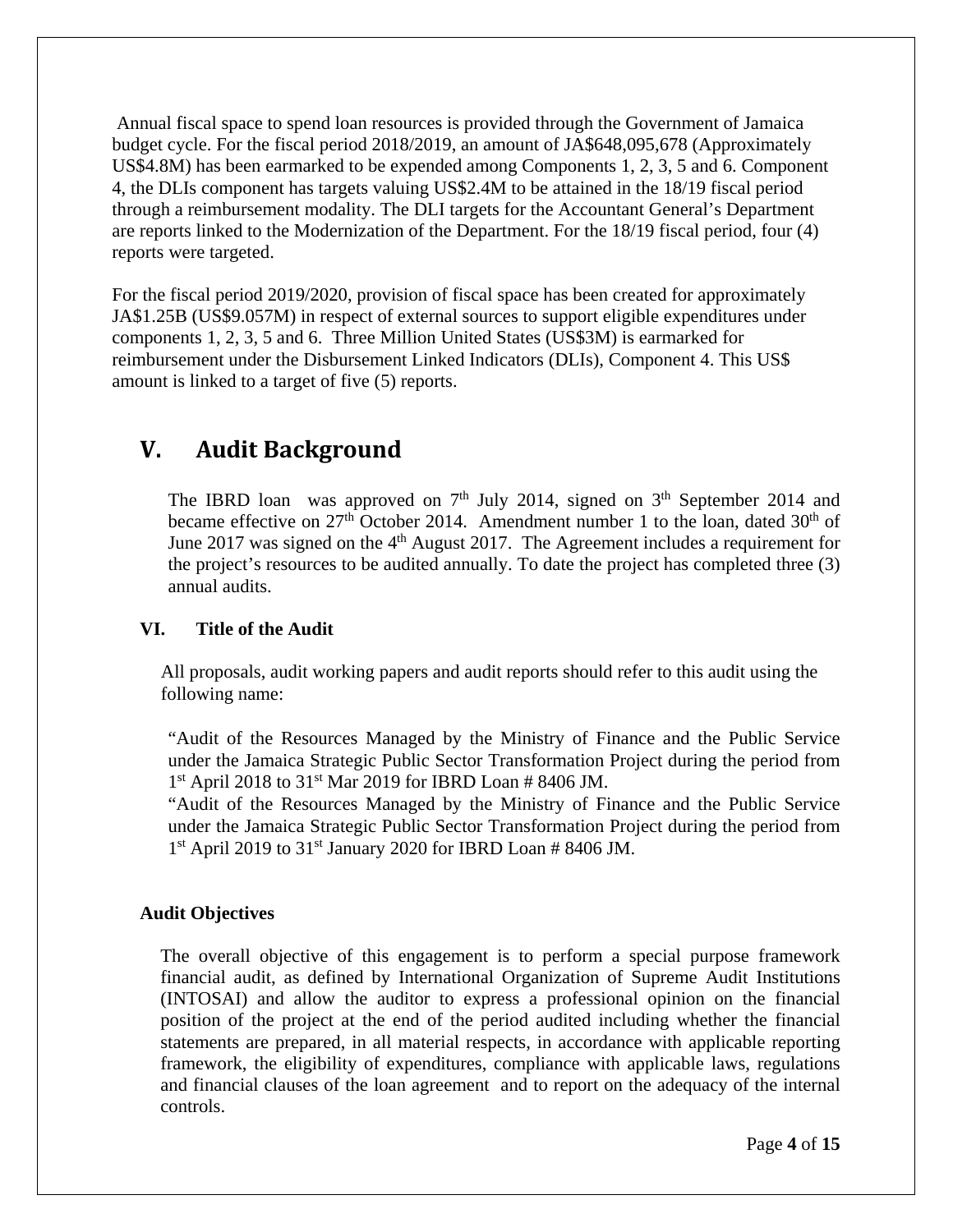Annual fiscal space to spend loan resources is provided through the Government of Jamaica budget cycle. For the fiscal period 2018/2019, an amount of JA\$648,095,678 (Approximately US\$4.8M) has been earmarked to be expended among Components 1, 2, 3, 5 and 6. Component 4, the DLIs component has targets valuing US\$2.4M to be attained in the 18/19 fiscal period through a reimbursement modality. The DLI targets for the Accountant General's Department are reports linked to the Modernization of the Department. For the 18/19 fiscal period, four (4) reports were targeted.

For the fiscal period 2019/2020, provision of fiscal space has been created for approximately JA\$1.25B (US\$9.057M) in respect of external sources to support eligible expenditures under components 1, 2, 3, 5 and 6. Three Million United States (US\$3M) is earmarked for reimbursement under the Disbursement Linked Indicators (DLIs), Component 4. This US\$ amount is linked to a target of five (5) reports.

# **V. Audit Background**

The IBRD loan was approved on  $7<sup>th</sup>$  July 2014, signed on  $3<sup>th</sup>$  September 2014 and became effective on  $27<sup>th</sup>$  October 2014. Amendment number 1 to the loan, dated  $30<sup>th</sup>$  of June 2017 was signed on the  $4<sup>th</sup>$  August 2017. The Agreement includes a requirement for the project's resources to be audited annually. To date the project has completed three (3) annual audits.

### **VI. Title of the Audit**

 All proposals, audit working papers and audit reports should refer to this audit using the following name:

"Audit of the Resources Managed by the Ministry of Finance and the Public Service under the Jamaica Strategic Public Sector Transformation Project during the period from  $1<sup>st</sup>$  April 2018 to 31<sup>st</sup> Mar 2019 for IBRD Loan # 8406 JM.

"Audit of the Resources Managed by the Ministry of Finance and the Public Service under the Jamaica Strategic Public Sector Transformation Project during the period from  $1<sup>st</sup>$  April 2019 to 31<sup>st</sup> January 2020 for IBRD Loan # 8406 JM.

### **Audit Objectives**

The overall objective of this engagement is to perform a special purpose framework financial audit, as defined by International Organization of Supreme Audit Institutions (INTOSAI) and allow the auditor to express a professional opinion on the financial position of the project at the end of the period audited including whether the financial statements are prepared, in all material respects, in accordance with applicable reporting framework, the eligibility of expenditures, compliance with applicable laws, regulations and financial clauses of the loan agreement and to report on the adequacy of the internal controls.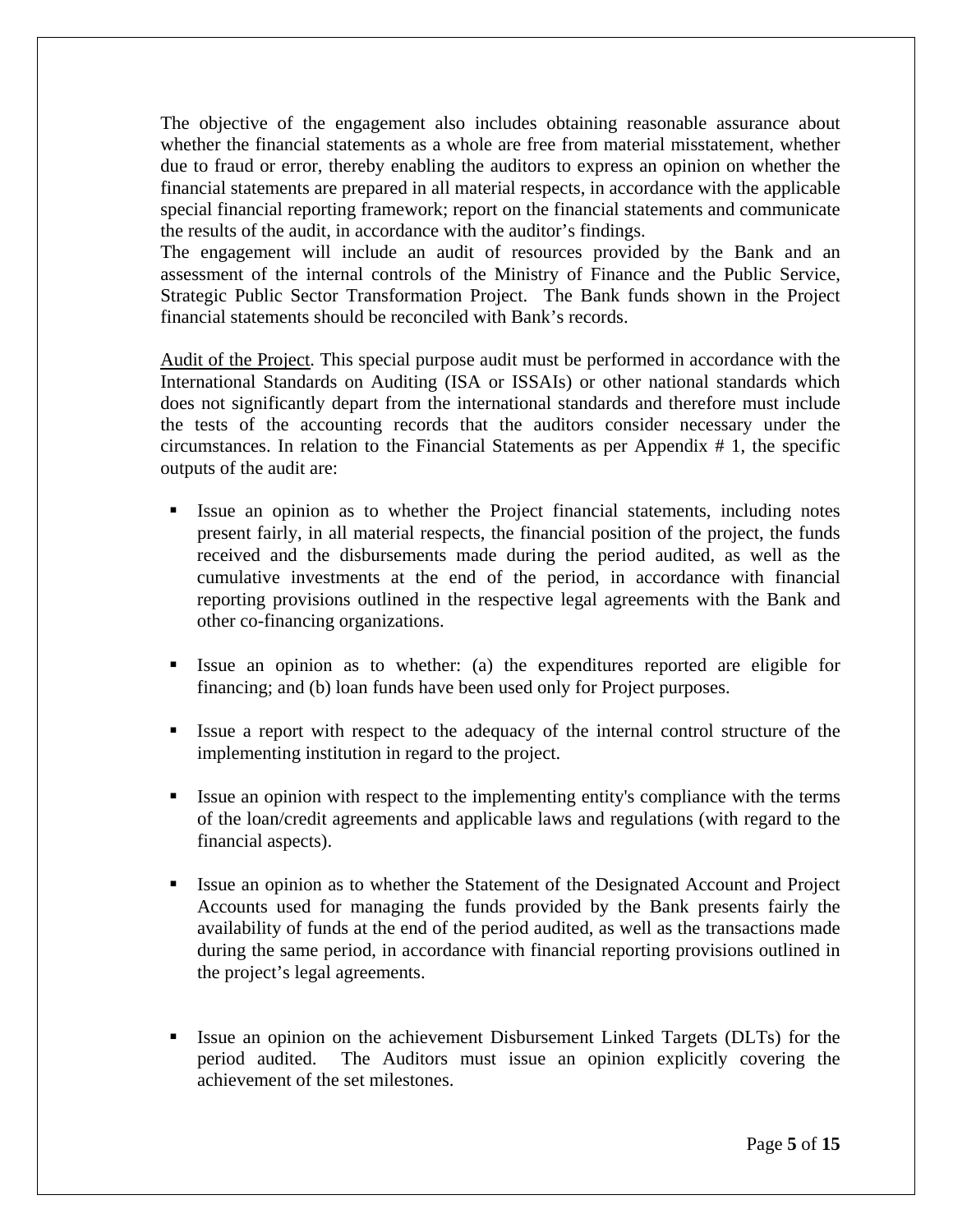The objective of the engagement also includes obtaining reasonable assurance about whether the financial statements as a whole are free from material misstatement, whether due to fraud or error, thereby enabling the auditors to express an opinion on whether the financial statements are prepared in all material respects, in accordance with the applicable special financial reporting framework; report on the financial statements and communicate the results of the audit, in accordance with the auditor's findings.

The engagement will include an audit of resources provided by the Bank and an assessment of the internal controls of the Ministry of Finance and the Public Service, Strategic Public Sector Transformation Project. The Bank funds shown in the Project financial statements should be reconciled with Bank's records.

Audit of the Project. This special purpose audit must be performed in accordance with the International Standards on Auditing (ISA or ISSAIs) or other national standards which does not significantly depart from the international standards and therefore must include the tests of the accounting records that the auditors consider necessary under the circumstances. In relation to the Financial Statements as per Appendix # 1, the specific outputs of the audit are:

- Issue an opinion as to whether the Project financial statements, including notes present fairly, in all material respects, the financial position of the project, the funds received and the disbursements made during the period audited, as well as the cumulative investments at the end of the period, in accordance with financial reporting provisions outlined in the respective legal agreements with the Bank and other co-financing organizations.
- Issue an opinion as to whether: (a) the expenditures reported are eligible for financing; and (b) loan funds have been used only for Project purposes.
- Issue a report with respect to the adequacy of the internal control structure of the implementing institution in regard to the project.
- Issue an opinion with respect to the implementing entity's compliance with the terms of the loan/credit agreements and applicable laws and regulations (with regard to the financial aspects).
- Issue an opinion as to whether the Statement of the Designated Account and Project Accounts used for managing the funds provided by the Bank presents fairly the availability of funds at the end of the period audited, as well as the transactions made during the same period, in accordance with financial reporting provisions outlined in the project's legal agreements.
- Issue an opinion on the achievement Disbursement Linked Targets (DLTs) for the period audited. The Auditors must issue an opinion explicitly covering the achievement of the set milestones.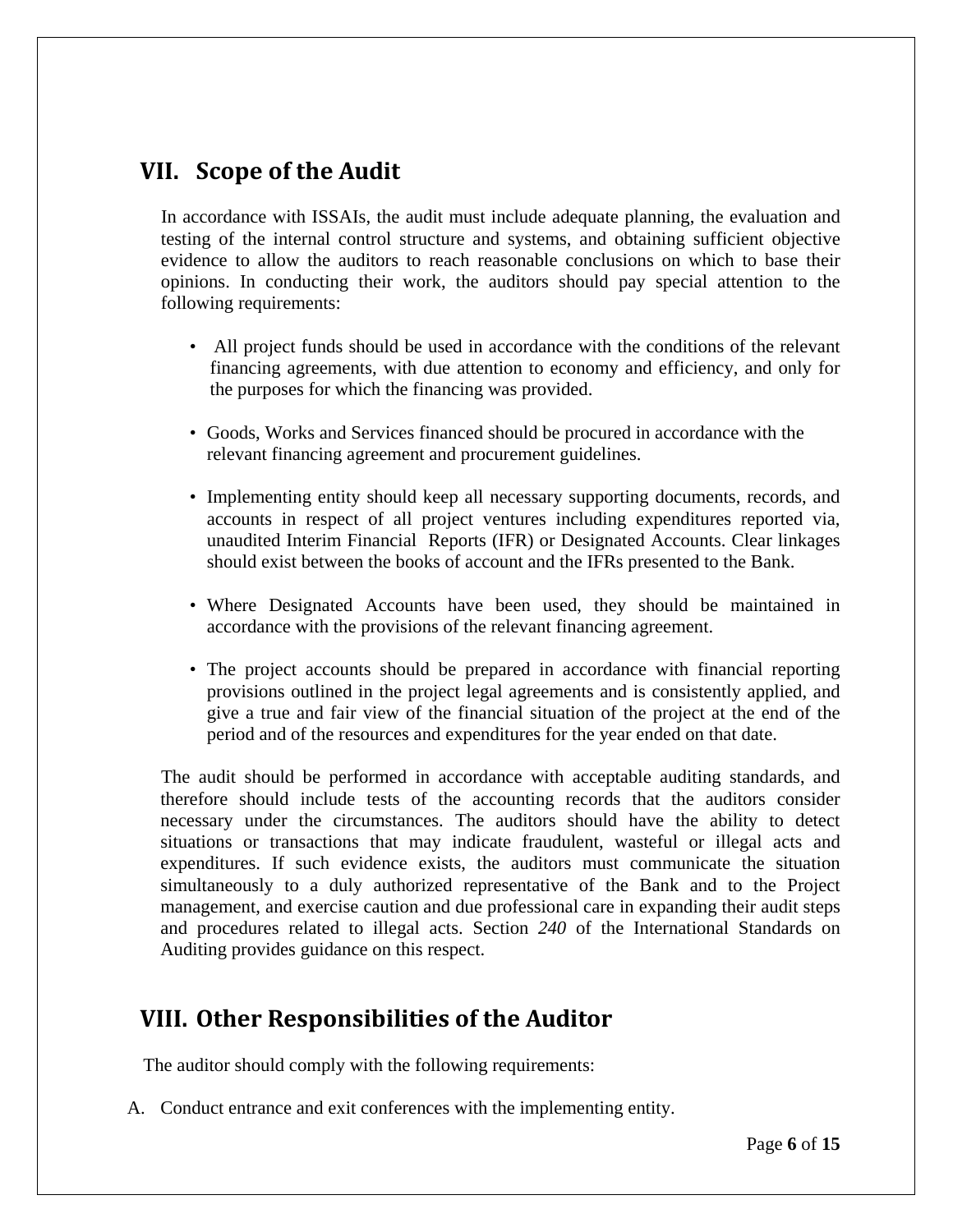# **VII. Scope of the Audit**

In accordance with ISSAIs, the audit must include adequate planning, the evaluation and testing of the internal control structure and systems, and obtaining sufficient objective evidence to allow the auditors to reach reasonable conclusions on which to base their opinions. In conducting their work, the auditors should pay special attention to the following requirements:

- All project funds should be used in accordance with the conditions of the relevant financing agreements, with due attention to economy and efficiency, and only for the purposes for which the financing was provided.
- Goods, Works and Services financed should be procured in accordance with the relevant financing agreement and procurement guidelines.
- Implementing entity should keep all necessary supporting documents, records, and accounts in respect of all project ventures including expenditures reported via, unaudited Interim Financial Reports (IFR) or Designated Accounts. Clear linkages should exist between the books of account and the IFRs presented to the Bank.
- Where Designated Accounts have been used, they should be maintained in accordance with the provisions of the relevant financing agreement.
- The project accounts should be prepared in accordance with financial reporting provisions outlined in the project legal agreements and is consistently applied, and give a true and fair view of the financial situation of the project at the end of the period and of the resources and expenditures for the year ended on that date.

The audit should be performed in accordance with acceptable auditing standards, and therefore should include tests of the accounting records that the auditors consider necessary under the circumstances. The auditors should have the ability to detect situations or transactions that may indicate fraudulent, wasteful or illegal acts and expenditures. If such evidence exists, the auditors must communicate the situation simultaneously to a duly authorized representative of the Bank and to the Project management, and exercise caution and due professional care in expanding their audit steps and procedures related to illegal acts. Section *240* of the International Standards on Auditing provides guidance on this respect.

# **VIII. Other Responsibilities of the Auditor**

The auditor should comply with the following requirements:

A. Conduct entrance and exit conferences with the implementing entity.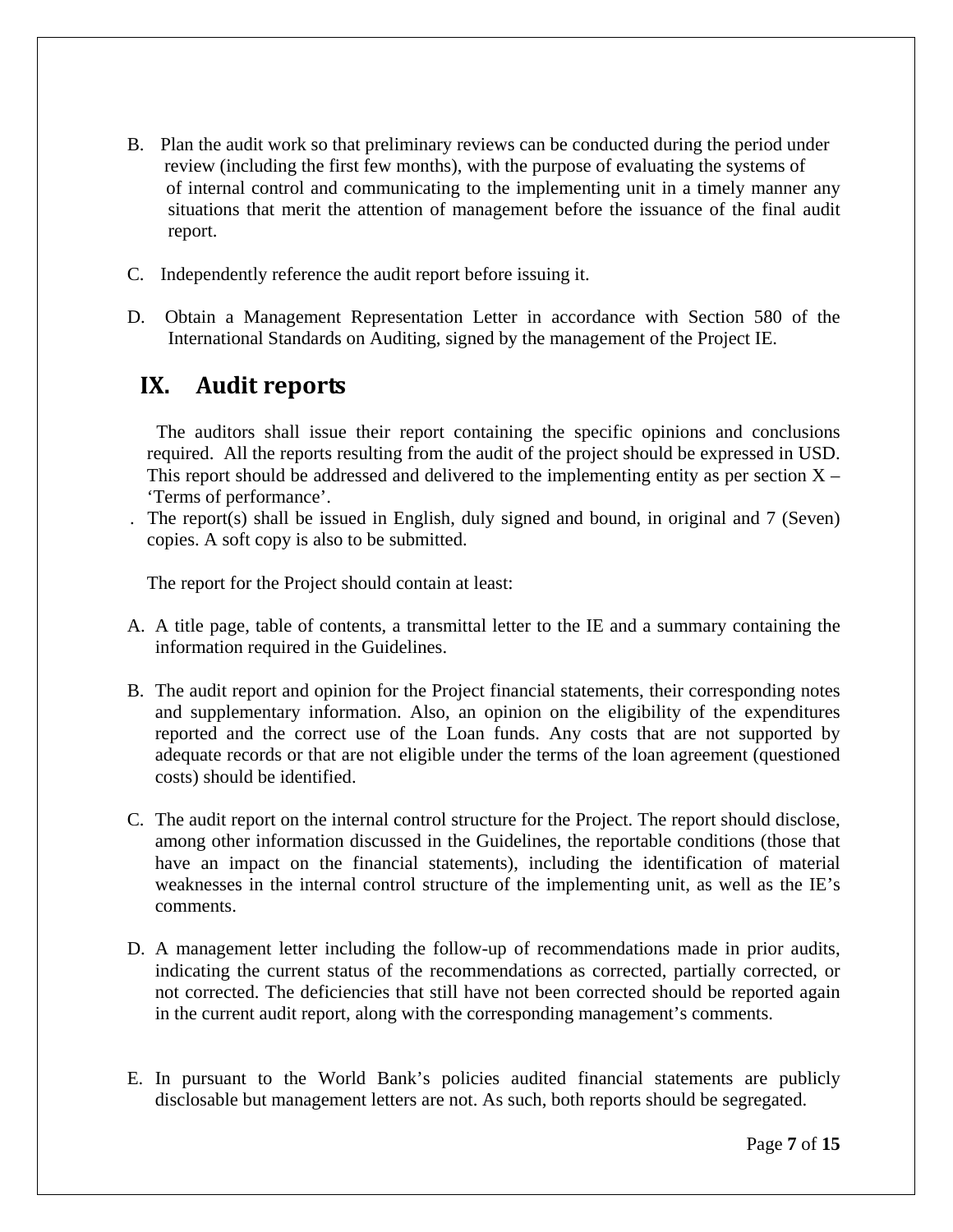- B. Plan the audit work so that preliminary reviews can be conducted during the period under review (including the first few months), with the purpose of evaluating the systems of of internal control and communicating to the implementing unit in a timely manner any situations that merit the attention of management before the issuance of the final audit report.
- C. Independently reference the audit report before issuing it.
- D. Obtain a Management Representation Letter in accordance with Section 580 of the International Standards on Auditing, signed by the management of the Project IE.

# **IX. Audit reports**

 The auditors shall issue their report containing the specific opinions and conclusions required. All the reports resulting from the audit of the project should be expressed in USD. This report should be addressed and delivered to the implementing entity as per section  $X -$ 'Terms of performance'.

. The report(s) shall be issued in English, duly signed and bound, in original and 7 (Seven) copies. A soft copy is also to be submitted.

The report for the Project should contain at least:

- A. A title page, table of contents, a transmittal letter to the IE and a summary containing the information required in the Guidelines.
- B. The audit report and opinion for the Project financial statements, their corresponding notes and supplementary information. Also, an opinion on the eligibility of the expenditures reported and the correct use of the Loan funds. Any costs that are not supported by adequate records or that are not eligible under the terms of the loan agreement (questioned costs) should be identified.
- C. The audit report on the internal control structure for the Project. The report should disclose, among other information discussed in the Guidelines, the reportable conditions (those that have an impact on the financial statements), including the identification of material weaknesses in the internal control structure of the implementing unit, as well as the IE's comments.
- D. A management letter including the follow-up of recommendations made in prior audits, indicating the current status of the recommendations as corrected, partially corrected, or not corrected. The deficiencies that still have not been corrected should be reported again in the current audit report, along with the corresponding management's comments.
- E. In pursuant to the World Bank's policies audited financial statements are publicly disclosable but management letters are not. As such, both reports should be segregated.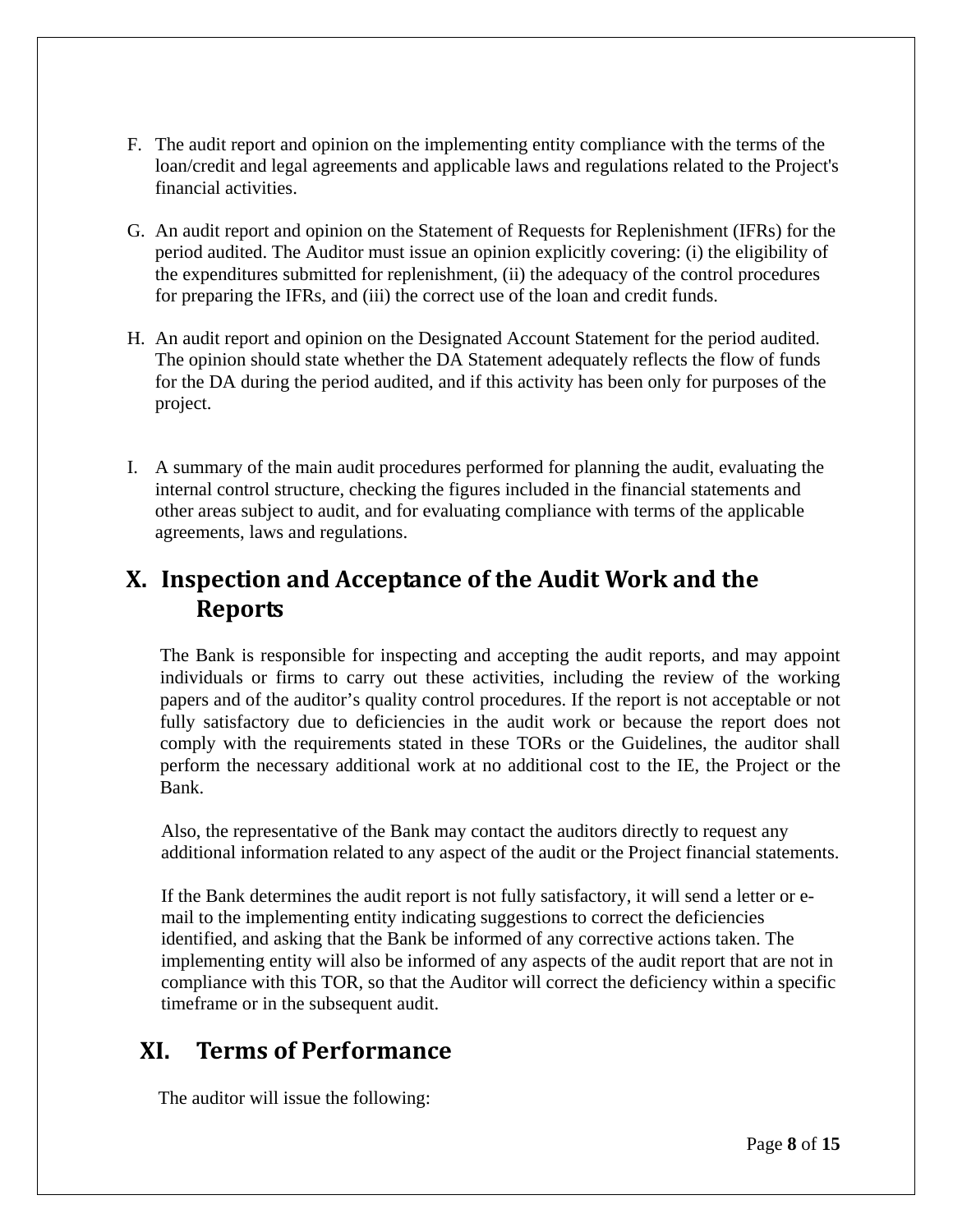- F. The audit report and opinion on the implementing entity compliance with the terms of the loan/credit and legal agreements and applicable laws and regulations related to the Project's financial activities.
- G. An audit report and opinion on the Statement of Requests for Replenishment (IFRs) for the period audited. The Auditor must issue an opinion explicitly covering: (i) the eligibility of the expenditures submitted for replenishment, (ii) the adequacy of the control procedures for preparing the IFRs, and (iii) the correct use of the loan and credit funds.
- H. An audit report and opinion on the Designated Account Statement for the period audited. The opinion should state whether the DA Statement adequately reflects the flow of funds for the DA during the period audited, and if this activity has been only for purposes of the project.
- I. A summary of the main audit procedures performed for planning the audit, evaluating the internal control structure, checking the figures included in the financial statements and other areas subject to audit, and for evaluating compliance with terms of the applicable agreements, laws and regulations.

# **X. Inspection and Acceptance of the Audit Work and the Reports**

 The Bank is responsible for inspecting and accepting the audit reports, and may appoint individuals or firms to carry out these activities, including the review of the working papers and of the auditor's quality control procedures. If the report is not acceptable or not fully satisfactory due to deficiencies in the audit work or because the report does not comply with the requirements stated in these TORs or the Guidelines, the auditor shall perform the necessary additional work at no additional cost to the IE, the Project or the Bank.

Also, the representative of the Bank may contact the auditors directly to request any additional information related to any aspect of the audit or the Project financial statements.

If the Bank determines the audit report is not fully satisfactory, it will send a letter or email to the implementing entity indicating suggestions to correct the deficiencies identified, and asking that the Bank be informed of any corrective actions taken. The implementing entity will also be informed of any aspects of the audit report that are not in compliance with this TOR, so that the Auditor will correct the deficiency within a specific timeframe or in the subsequent audit.

# **XI. Terms of Performance**

The auditor will issue the following: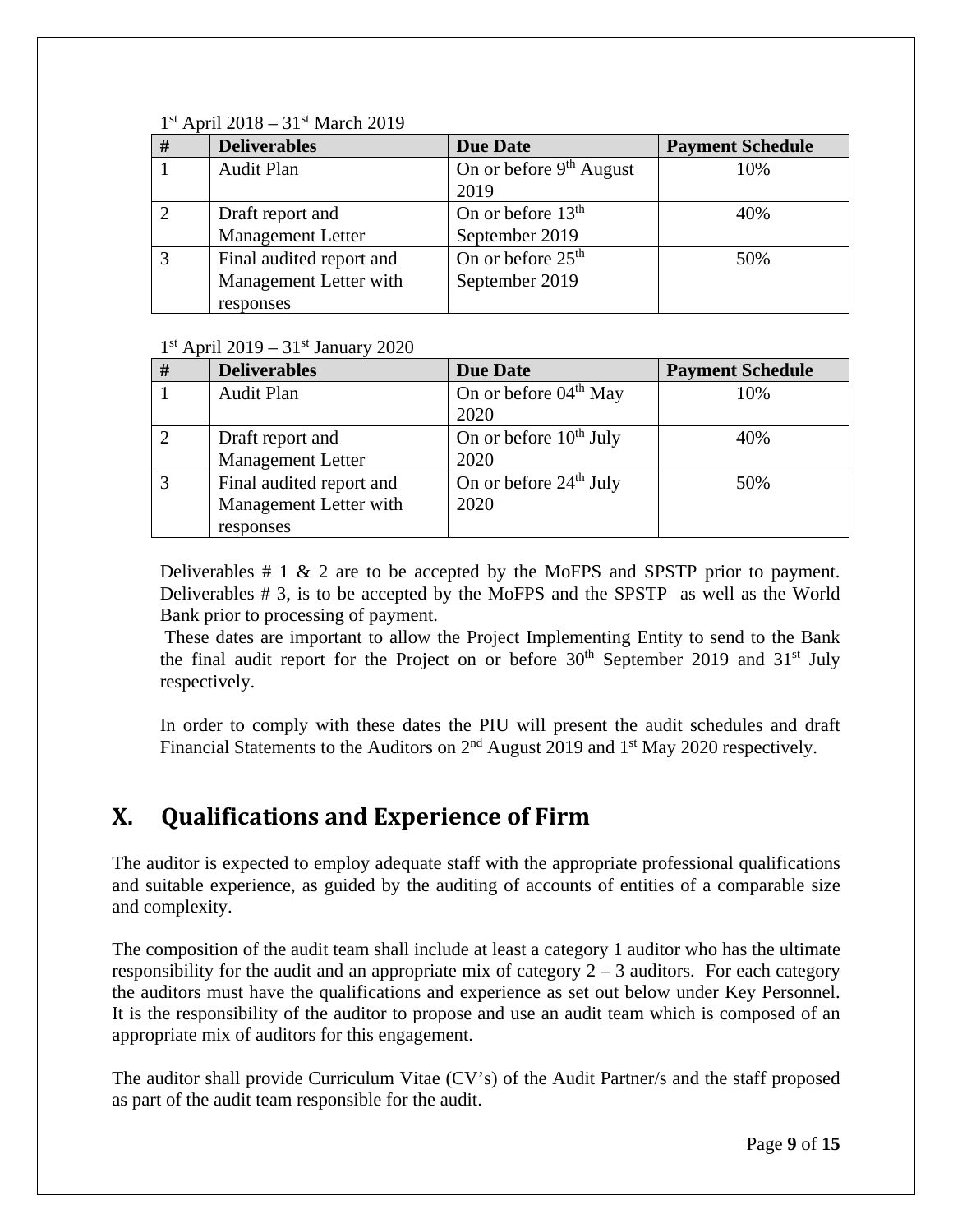### $1<sup>st</sup>$  April 2018 – 31 $<sup>st</sup>$  March 2019</sup>

| # | <b>Deliverables</b>      | <b>Due Date</b>               | <b>Payment Schedule</b> |
|---|--------------------------|-------------------------------|-------------------------|
|   | <b>Audit Plan</b>        | On or before $9th$ August     | 10%                     |
|   |                          | 2019                          |                         |
|   | Draft report and         | On or before $13th$           | 40%                     |
|   | <b>Management Letter</b> | September 2019                |                         |
|   | Final audited report and | On or before 25 <sup>th</sup> | 50%                     |
|   | Management Letter with   | September 2019                |                         |
|   | responses                |                               |                         |

 $1<sup>st</sup>$  April 2019 – 31 $<sup>st</sup>$  January 2020</sup>

| #             | <b>Deliverables</b>      | <b>Due Date</b>                   | <b>Payment Schedule</b> |
|---------------|--------------------------|-----------------------------------|-------------------------|
|               | <b>Audit Plan</b>        | On or before 04 <sup>th</sup> May | 10%                     |
|               |                          | 2020                              |                         |
| $\mathcal{D}$ | Draft report and         | On or before $10^{th}$ July       | 40%                     |
|               | <b>Management Letter</b> | 2020                              |                         |
|               | Final audited report and | On or before $24th$ July          | 50%                     |
|               | Management Letter with   | 2020                              |                         |
|               | responses                |                                   |                         |

Deliverables  $# 1 \& 2$  are to be accepted by the MoFPS and SPSTP prior to payment. Deliverables # 3, is to be accepted by the MoFPS and the SPSTP as well as the World Bank prior to processing of payment.

 These dates are important to allow the Project Implementing Entity to send to the Bank the final audit report for the Project on or before  $30<sup>th</sup>$  September 2019 and  $31<sup>st</sup>$  July respectively.

 In order to comply with these dates the PIU will present the audit schedules and draft Financial Statements to the Auditors on 2<sup>nd</sup> August 2019 and 1<sup>st</sup> May 2020 respectively.

# **X. Qualifications and Experience of Firm**

The auditor is expected to employ adequate staff with the appropriate professional qualifications and suitable experience, as guided by the auditing of accounts of entities of a comparable size and complexity.

The composition of the audit team shall include at least a category 1 auditor who has the ultimate responsibility for the audit and an appropriate mix of category  $2 - 3$  auditors. For each category the auditors must have the qualifications and experience as set out below under Key Personnel. It is the responsibility of the auditor to propose and use an audit team which is composed of an appropriate mix of auditors for this engagement.

The auditor shall provide Curriculum Vitae (CV's) of the Audit Partner/s and the staff proposed as part of the audit team responsible for the audit.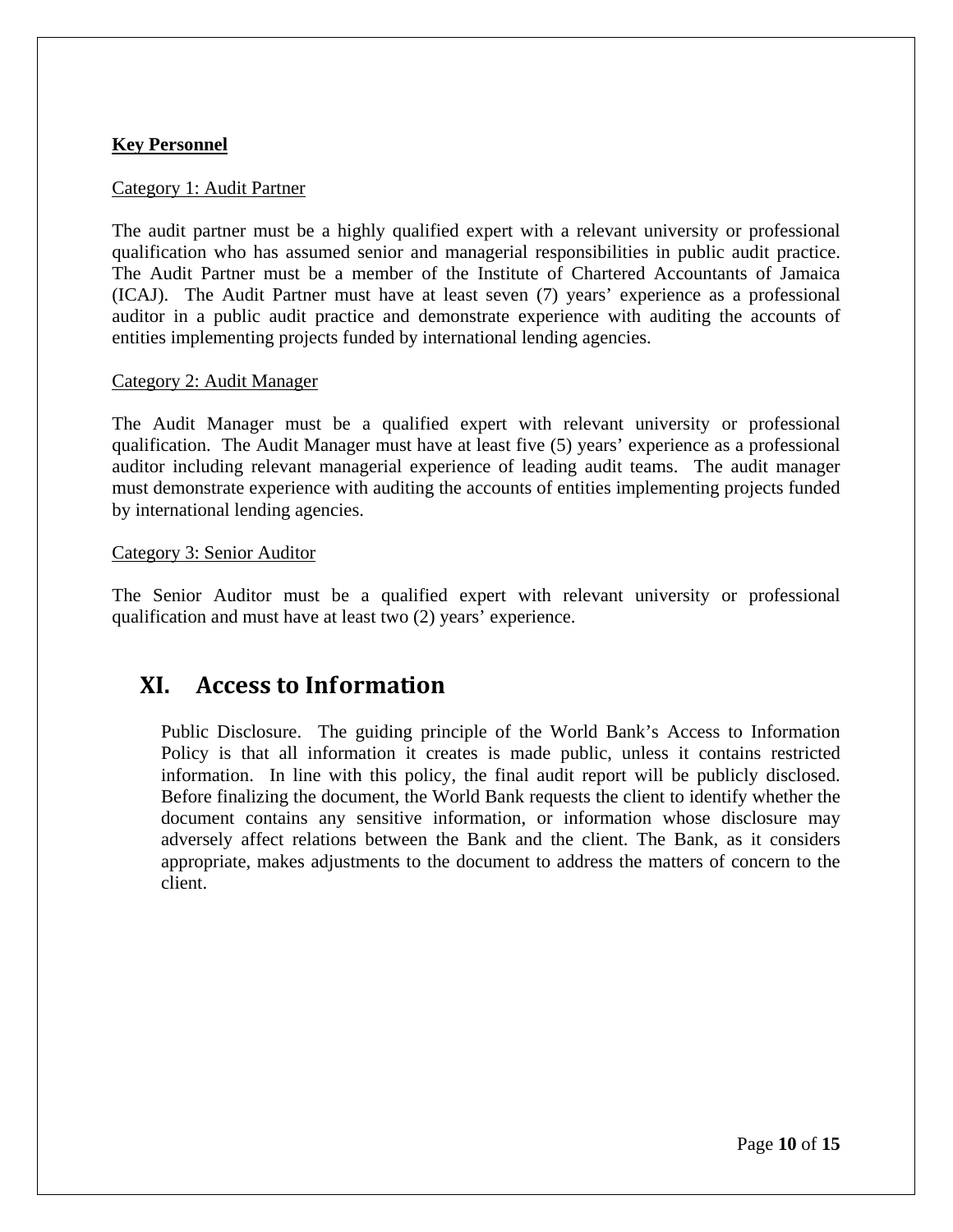### **Key Personnel**

#### Category 1: Audit Partner

The audit partner must be a highly qualified expert with a relevant university or professional qualification who has assumed senior and managerial responsibilities in public audit practice. The Audit Partner must be a member of the Institute of Chartered Accountants of Jamaica (ICAJ). The Audit Partner must have at least seven (7) years' experience as a professional auditor in a public audit practice and demonstrate experience with auditing the accounts of entities implementing projects funded by international lending agencies.

#### Category 2: Audit Manager

The Audit Manager must be a qualified expert with relevant university or professional qualification. The Audit Manager must have at least five (5) years' experience as a professional auditor including relevant managerial experience of leading audit teams. The audit manager must demonstrate experience with auditing the accounts of entities implementing projects funded by international lending agencies.

#### Category 3: Senior Auditor

The Senior Auditor must be a qualified expert with relevant university or professional qualification and must have at least two (2) years' experience.

# **XI. Access to Information**

Public Disclosure. The guiding principle of the World Bank's Access to Information Policy is that all information it creates is made public, unless it contains restricted information. In line with this policy, the final audit report will be publicly disclosed. Before finalizing the document, the World Bank requests the client to identify whether the document contains any sensitive information, or information whose disclosure may adversely affect relations between the Bank and the client. The Bank, as it considers appropriate, makes adjustments to the document to address the matters of concern to the client.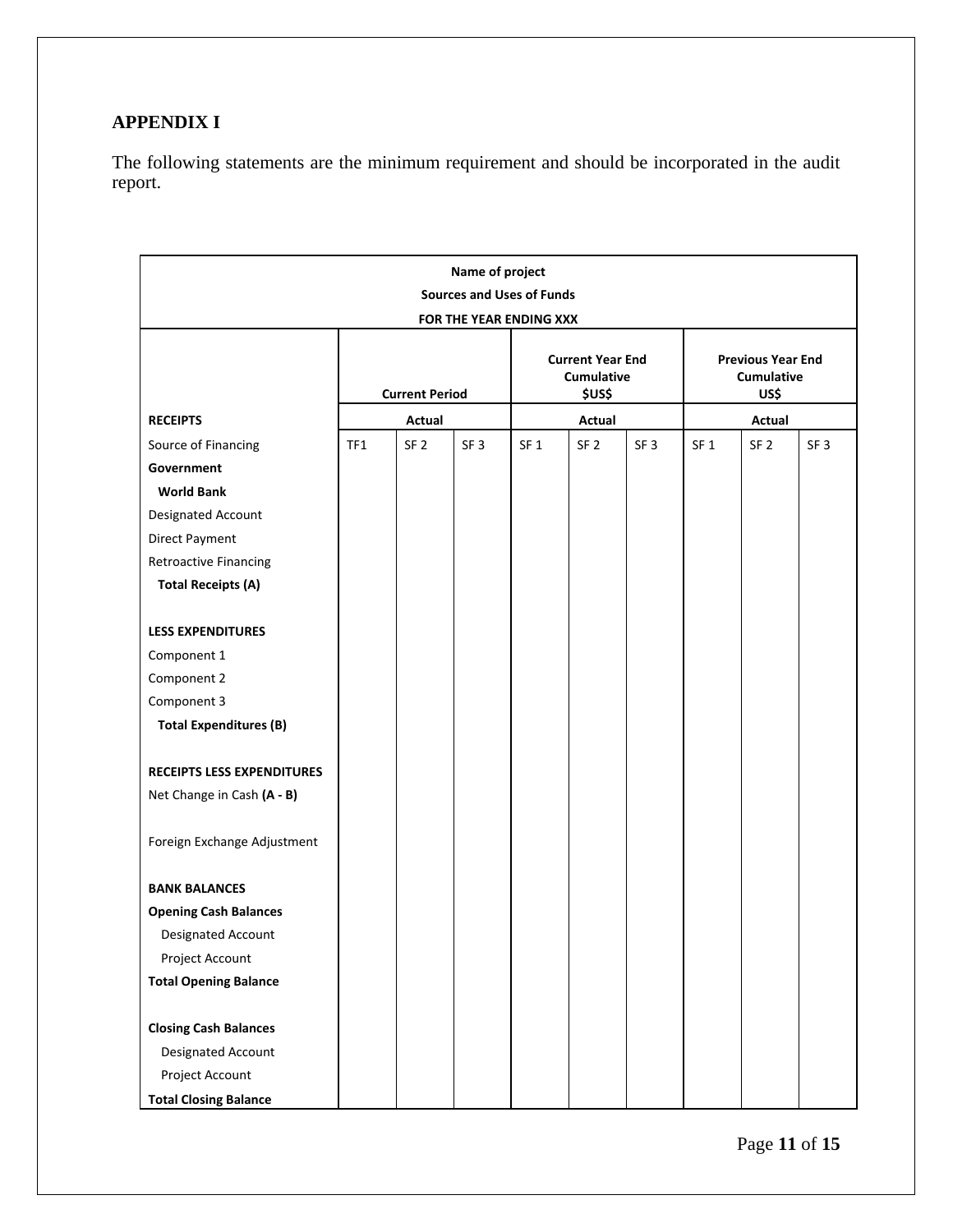### **APPENDIX I**

The following statements are the minimum requirement and should be incorporated in the audit report.

| Name of project                                                                                       |                       |                 |                                                 |                 |                                                |                 |                 |                 |                 |
|-------------------------------------------------------------------------------------------------------|-----------------------|-----------------|-------------------------------------------------|-----------------|------------------------------------------------|-----------------|-----------------|-----------------|-----------------|
| <b>Sources and Uses of Funds</b>                                                                      |                       |                 |                                                 |                 |                                                |                 |                 |                 |                 |
| FOR THE YEAR ENDING XXX                                                                               |                       |                 |                                                 |                 |                                                |                 |                 |                 |                 |
|                                                                                                       | <b>Current Period</b> |                 | <b>Current Year End</b><br>Cumulative<br>\$US\$ |                 | <b>Previous Year End</b><br>Cumulative<br>US\$ |                 |                 |                 |                 |
| <b>RECEIPTS</b>                                                                                       |                       | Actual          |                                                 |                 | Actual                                         |                 | Actual          |                 |                 |
| Source of Financing                                                                                   | TF1                   | SF <sub>2</sub> | SF <sub>3</sub>                                 | SF <sub>1</sub> | SF <sub>2</sub>                                | SF <sub>3</sub> | SF <sub>1</sub> | SF <sub>2</sub> | SF <sub>3</sub> |
| Government                                                                                            |                       |                 |                                                 |                 |                                                |                 |                 |                 |                 |
| <b>World Bank</b>                                                                                     |                       |                 |                                                 |                 |                                                |                 |                 |                 |                 |
| Designated Account                                                                                    |                       |                 |                                                 |                 |                                                |                 |                 |                 |                 |
| Direct Payment                                                                                        |                       |                 |                                                 |                 |                                                |                 |                 |                 |                 |
| <b>Retroactive Financing</b>                                                                          |                       |                 |                                                 |                 |                                                |                 |                 |                 |                 |
| <b>Total Receipts (A)</b>                                                                             |                       |                 |                                                 |                 |                                                |                 |                 |                 |                 |
|                                                                                                       |                       |                 |                                                 |                 |                                                |                 |                 |                 |                 |
| <b>LESS EXPENDITURES</b>                                                                              |                       |                 |                                                 |                 |                                                |                 |                 |                 |                 |
| Component 1                                                                                           |                       |                 |                                                 |                 |                                                |                 |                 |                 |                 |
| Component 2                                                                                           |                       |                 |                                                 |                 |                                                |                 |                 |                 |                 |
| Component 3                                                                                           |                       |                 |                                                 |                 |                                                |                 |                 |                 |                 |
| <b>Total Expenditures (B)</b>                                                                         |                       |                 |                                                 |                 |                                                |                 |                 |                 |                 |
|                                                                                                       |                       |                 |                                                 |                 |                                                |                 |                 |                 |                 |
| <b>RECEIPTS LESS EXPENDITURES</b>                                                                     |                       |                 |                                                 |                 |                                                |                 |                 |                 |                 |
| Net Change in Cash (A - B)                                                                            |                       |                 |                                                 |                 |                                                |                 |                 |                 |                 |
|                                                                                                       |                       |                 |                                                 |                 |                                                |                 |                 |                 |                 |
| Foreign Exchange Adjustment                                                                           |                       |                 |                                                 |                 |                                                |                 |                 |                 |                 |
|                                                                                                       |                       |                 |                                                 |                 |                                                |                 |                 |                 |                 |
| <b>BANK BALANCES</b>                                                                                  |                       |                 |                                                 |                 |                                                |                 |                 |                 |                 |
| <b>Opening Cash Balances</b>                                                                          |                       |                 |                                                 |                 |                                                |                 |                 |                 |                 |
| Designated Account                                                                                    |                       |                 |                                                 |                 |                                                |                 |                 |                 |                 |
| Project Account                                                                                       |                       |                 |                                                 |                 |                                                |                 |                 |                 |                 |
| <b>Total Opening Balance</b>                                                                          |                       |                 |                                                 |                 |                                                |                 |                 |                 |                 |
|                                                                                                       |                       |                 |                                                 |                 |                                                |                 |                 |                 |                 |
|                                                                                                       |                       |                 |                                                 |                 |                                                |                 |                 |                 |                 |
|                                                                                                       |                       |                 |                                                 |                 |                                                |                 |                 |                 |                 |
|                                                                                                       |                       |                 |                                                 |                 |                                                |                 |                 |                 |                 |
| <b>Closing Cash Balances</b><br>Designated Account<br>Project Account<br><b>Total Closing Balance</b> |                       |                 |                                                 |                 |                                                |                 |                 |                 |                 |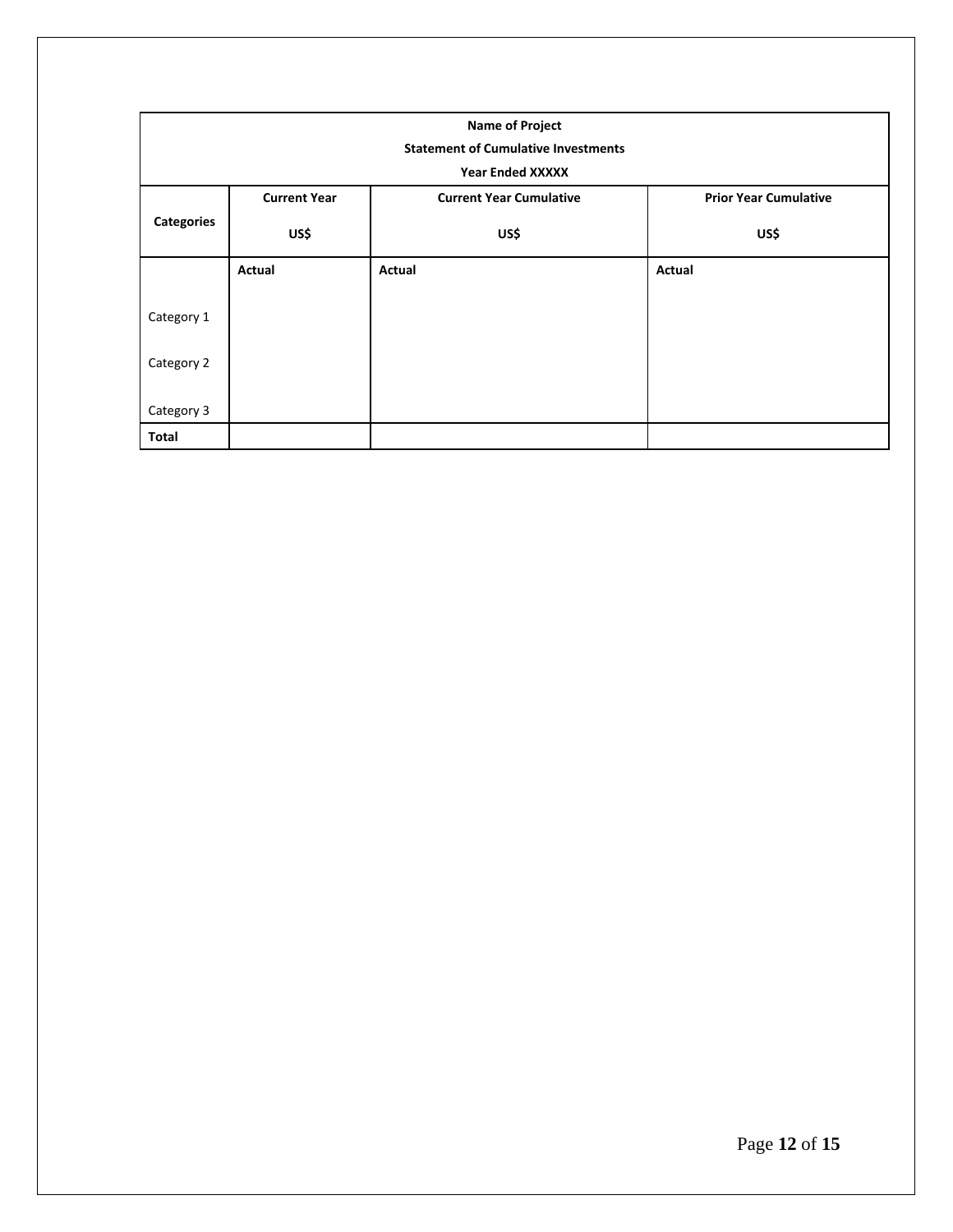| <b>Name of Project</b>                     |                     |                                |                              |  |  |  |  |
|--------------------------------------------|---------------------|--------------------------------|------------------------------|--|--|--|--|
| <b>Statement of Cumulative Investments</b> |                     |                                |                              |  |  |  |  |
|                                            |                     | <b>Year Ended XXXXX</b>        |                              |  |  |  |  |
|                                            | <b>Current Year</b> | <b>Current Year Cumulative</b> | <b>Prior Year Cumulative</b> |  |  |  |  |
| <b>Categories</b>                          | US\$                | US\$                           | US\$                         |  |  |  |  |
|                                            | Actual              | Actual                         | Actual                       |  |  |  |  |
| Category 1                                 |                     |                                |                              |  |  |  |  |
| Category 2                                 |                     |                                |                              |  |  |  |  |
| Category 3                                 |                     |                                |                              |  |  |  |  |
| Total                                      |                     |                                |                              |  |  |  |  |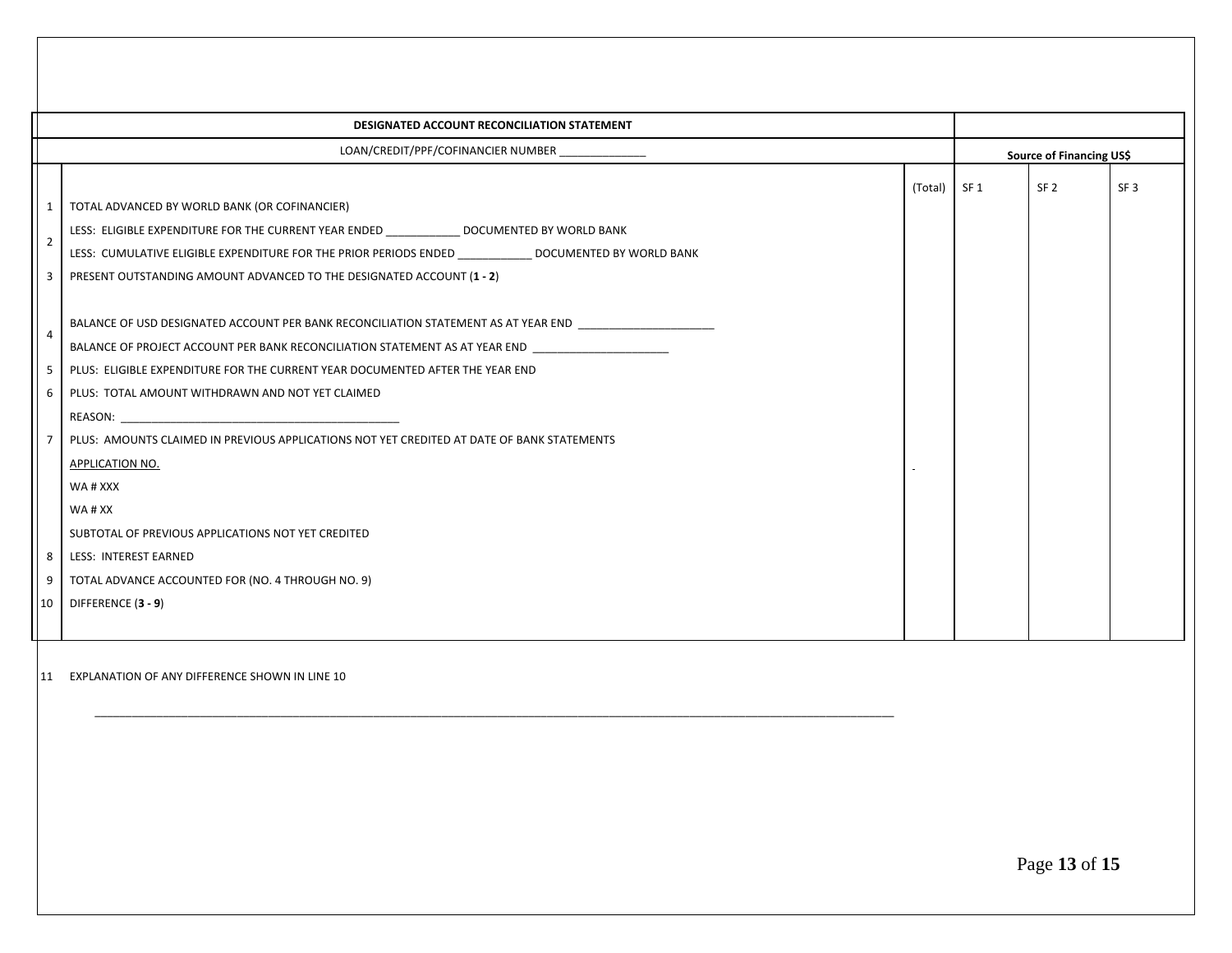|                     | DESIGNATED ACCOUNT RECONCILIATION STATEMENT                                                                                                                                                                                                                                                                                               |              |                          |                 |
|---------------------|-------------------------------------------------------------------------------------------------------------------------------------------------------------------------------------------------------------------------------------------------------------------------------------------------------------------------------------------|--------------|--------------------------|-----------------|
|                     | LOAN/CREDIT/PPF/COFINANCIER NUMBER _______________                                                                                                                                                                                                                                                                                        |              | Source of Financing US\$ |                 |
| $\overline{2}$<br>3 | TOTAL ADVANCED BY WORLD BANK (OR COFINANCIER)<br>LESS: ELIGIBLE EXPENDITURE FOR THE CURRENT YEAR ENDED <b>SHOW BOOT DOCUMENTED BY WORLD BANK</b><br>LESS: CUMULATIVE ELIGIBLE EXPENDITURE FOR THE PRIOR PERIODS ENDED <b>STATES AND DOCUMENTED BY WORLD BANK</b><br>PRESENT OUTSTANDING AMOUNT ADVANCED TO THE DESIGNATED ACCOUNT (1 - 2) | (Total) SF 1 | SF <sub>2</sub>          | SF <sub>3</sub> |
| 4<br>5              | BALANCE OF USD DESIGNATED ACCOUNT PER BANK RECONCILIATION STATEMENT AS AT YEAR END<br>BALANCE OF PROJECT ACCOUNT PER BANK RECONCILIATION STATEMENT AS AT YEAR END<br>PLUS: ELIGIBLE EXPENDITURE FOR THE CURRENT YEAR DOCUMENTED AFTER THE YEAR END<br>PLUS: TOTAL AMOUNT WITHDRAWN AND NOT YET CLAIMED                                    |              |                          |                 |
| 6 I                 | REASON: <b>Example 2018</b><br>PLUS: AMOUNTS CLAIMED IN PREVIOUS APPLICATIONS NOT YET CREDITED AT DATE OF BANK STATEMENTS<br><b>APPLICATION NO.</b><br>WA # XXX                                                                                                                                                                           |              |                          |                 |
| 9                   | WA#XX<br>SUBTOTAL OF PREVIOUS APPLICATIONS NOT YET CREDITED<br>8   LESS: INTEREST EARNED<br>TOTAL ADVANCE ACCOUNTED FOR (NO. 4 THROUGH NO. 9)                                                                                                                                                                                             |              |                          |                 |
| 10 <sup>1</sup>     | DIFFERENCE (3 - 9)                                                                                                                                                                                                                                                                                                                        |              |                          |                 |

11 EXPLANATION OF ANY DIFFERENCE SHOWN IN LINE 10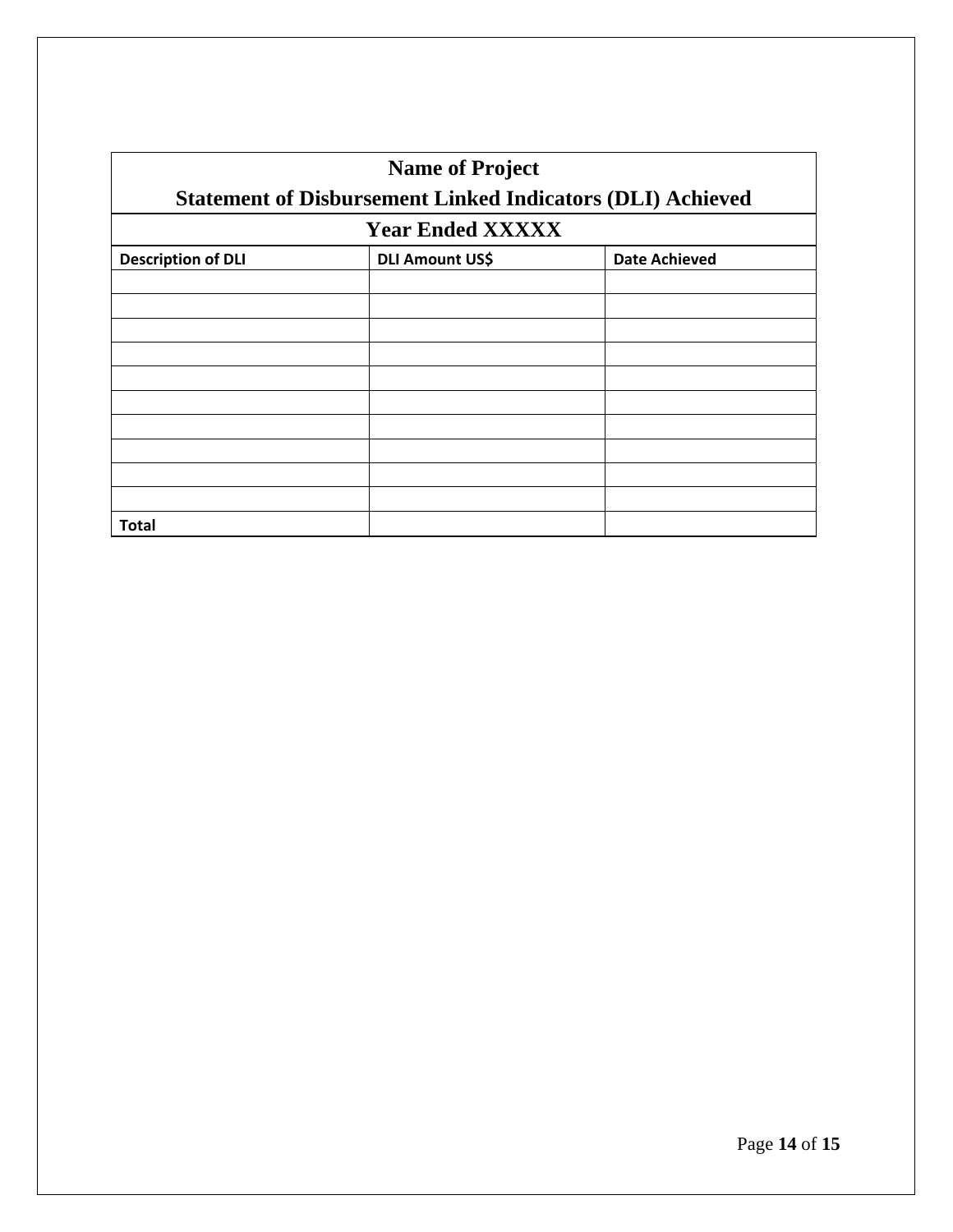| <b>Name of Project</b><br><b>Statement of Disbursement Linked Indicators (DLI) Achieved</b> |                        |                      |  |  |  |  |  |
|---------------------------------------------------------------------------------------------|------------------------|----------------------|--|--|--|--|--|
| <b>Year Ended XXXXX</b>                                                                     |                        |                      |  |  |  |  |  |
| <b>Description of DLI</b>                                                                   | <b>DLI Amount US\$</b> | <b>Date Achieved</b> |  |  |  |  |  |
|                                                                                             |                        |                      |  |  |  |  |  |
|                                                                                             |                        |                      |  |  |  |  |  |
|                                                                                             |                        |                      |  |  |  |  |  |
|                                                                                             |                        |                      |  |  |  |  |  |
|                                                                                             |                        |                      |  |  |  |  |  |
|                                                                                             |                        |                      |  |  |  |  |  |
|                                                                                             |                        |                      |  |  |  |  |  |
|                                                                                             |                        |                      |  |  |  |  |  |
|                                                                                             |                        |                      |  |  |  |  |  |
|                                                                                             |                        |                      |  |  |  |  |  |
| <b>Total</b>                                                                                |                        |                      |  |  |  |  |  |